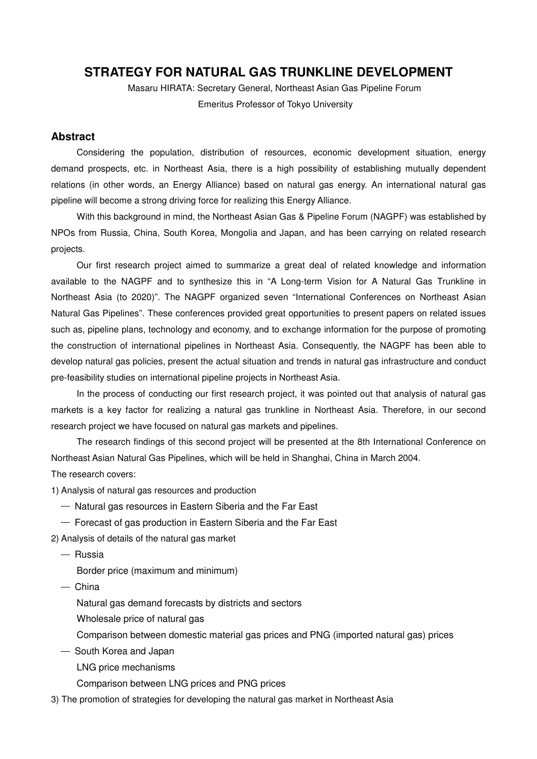## **STRATEGY FOR NATURAL GAS TRUNKLINE DEVELOPMENT**

Masaru HIRATA: Secretary General, Northeast Asian Gas Pipeline Forum Emeritus Professor of Tokyo University

## **Abstract**

Considering the population, distribution of resources, economic development situation, energy demand prospects, etc. in Northeast Asia, there is a high possibility of establishing mutually dependent relations (in other words, an Energy Alliance) based on natural gas energy. An international natural gas pipeline will become a strong driving force for realizing this Energy Alliance.

With this background in mind, the Northeast Asian Gas & Pipeline Forum (NAGPF) was established by NPOs from Russia, China, South Korea, Mongolia and Japan, and has been carrying on related research projects.

Our first research project aimed to summarize a great deal of related knowledge and information available to the NAGPF and to synthesize this in "A Long-term Vision for A Natural Gas Trunkline in Northeast Asia (to 2020)". The NAGPF organized seven "International Conferences on Northeast Asian Natural Gas Pipelines". These conferences provided great opportunities to present papers on related issues such as, pipeline plans, technology and economy, and to exchange information for the purpose of promoting the construction of international pipelines in Northeast Asia. Consequently, the NAGPF has been able to develop natural gas policies, present the actual situation and trends in natural gas infrastructure and conduct pre-feasibility studies on international pipeline projects in Northeast Asia.

In the process of conducting our first research project, it was pointed out that analysis of natural gas markets is a key factor for realizing a natural gas trunkline in Northeast Asia. Therefore, in our second research project we have focused on natural gas markets and pipelines.

The research findings of this second project will be presented at the 8th International Conference on Northeast Asian Natural Gas Pipelines, which will be held in Shanghai, China in March 2004. The research covers:

1) Analysis of natural gas resources and production

- ― Natural gas resources in Eastern Siberia and the Far East
- $-$  Forecast of gas production in Eastern Siberia and the Far East

2) Analysis of details of the natural gas market

― Russia

Border price (maximum and minimum)

― China

Natural gas demand forecasts by districts and sectors

- Wholesale price of natural gas
- Comparison between domestic material gas prices and PNG (imported natural gas) prices
- ― South Korea and Japan
	- LNG price mechanisms

Comparison between LNG prices and PNG prices

3) The promotion of strategies for developing the natural gas market in Northeast Asia